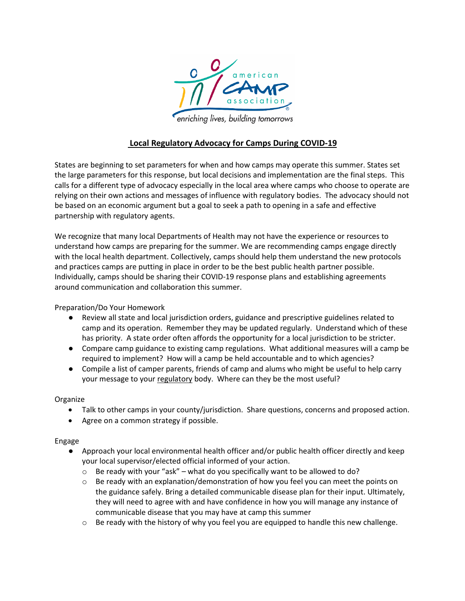

## **Local Regulatory Advocacy for Camps During COVID-19**

States are beginning to set parameters for when and how camps may operate this summer. States set the large parameters for this response, but local decisions and implementation are the final steps. This calls for a different type of advocacy especially in the local area where camps who choose to operate are relying on their own actions and messages of influence with regulatory bodies. The advocacy should not be based on an economic argument but a goal to seek a path to opening in a safe and effective partnership with regulatory agents.

We recognize that many local Departments of Health may not have the experience or resources to understand how camps are preparing for the summer. We are recommending camps engage directly with the local health department. Collectively, camps should help them understand the new protocols and practices camps are putting in place in order to be the best public health partner possible. Individually, camps should be sharing their COVID-19 response plans and establishing agreements around communication and collaboration this summer.

Preparation/Do Your Homework

- Review all state and local jurisdiction orders, guidance and prescriptive guidelines related to camp and its operation. Remember they may be updated regularly. Understand which of these has priority. A state order often affords the opportunity for a local jurisdiction to be stricter.
- Compare camp guidance to existing camp regulations. What additional measures will a camp be required to implement? How will a camp be held accountable and to which agencies?
- Compile a list of camper parents, friends of camp and alums who might be useful to help carry your message to your regulatory body. Where can they be the most useful?

## Organize

- Talk to other camps in your county/jurisdiction. Share questions, concerns and proposed action.
- Agree on a common strategy if possible.

## Engage

- Approach your local environmental health officer and/or public health officer directly and keep your local supervisor/elected official informed of your action.
	- $\circ$  Be ready with your "ask" what do you specifically want to be allowed to do?
	- $\circ$  Be ready with an explanation/demonstration of how you feel you can meet the points on the guidance safely. Bring a detailed communicable disease plan for their input. Ultimately, they will need to agree with and have confidence in how you will manage any instance of communicable disease that you may have at camp this summer
	- $\circ$  Be ready with the history of why you feel you are equipped to handle this new challenge.